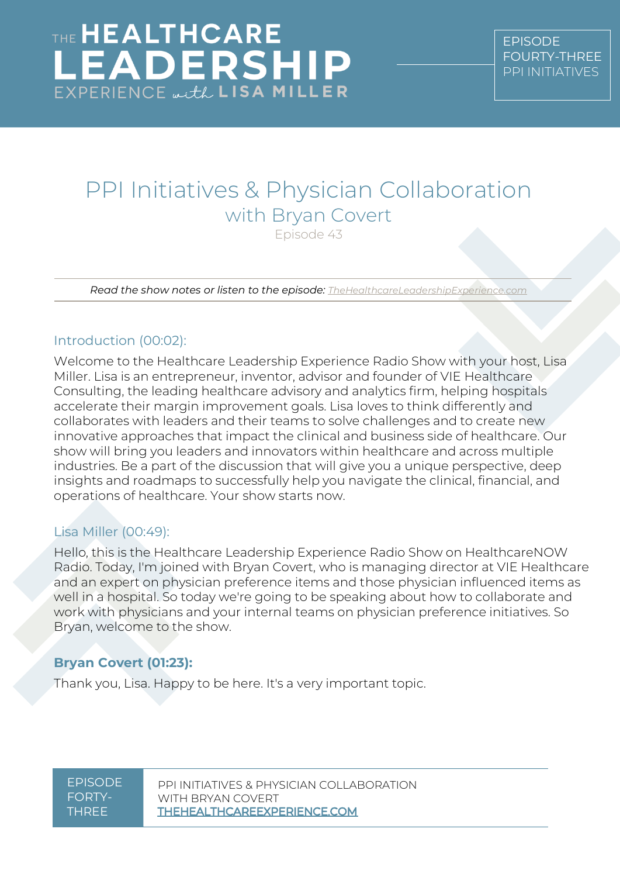## PPI Initiatives & Physician Collaboration with Bryan Covert Episode 43

*Read the show notes or listen to the episode: [TheHealthcareLeadershipExperience.com](http://thehealthcareleadershipexperience.com/)*

### Introduction (00:02):

Welcome to the Healthcare Leadership Experience Radio Show with your host, Lisa Miller. Lisa is an entrepreneur, inventor, advisor and founder of VIE Healthcare Consulting, the leading healthcare advisory and analytics firm, helping hospitals accelerate their margin improvement goals. Lisa loves to think differently and collaborates with leaders and their teams to solve challenges and to create new innovative approaches that impact the clinical and business side of healthcare. Our show will bring you leaders and innovators within healthcare and across multiple industries. Be a part of the discussion that will give you a unique perspective, deep insights and roadmaps to successfully help you navigate the clinical, financial, and operations of healthcare. Your show starts now.

#### Lisa Miller (00:49):

Hello, this is the Healthcare Leadership Experience Radio Show on HealthcareNOW Radio. Today, I'm joined with Bryan Covert, who is managing director at VIE Healthcare and an expert on physician preference items and those physician influenced items as well in a hospital. So today we're going to be speaking about how to collaborate and work with physicians and your internal teams on physician preference initiatives. So Bryan, welcome to the show.

## **Bryan Covert (01:23):**

Thank you, Lisa. Happy to be here. It's a very important topic.

#### EPISODE FORTY-THREE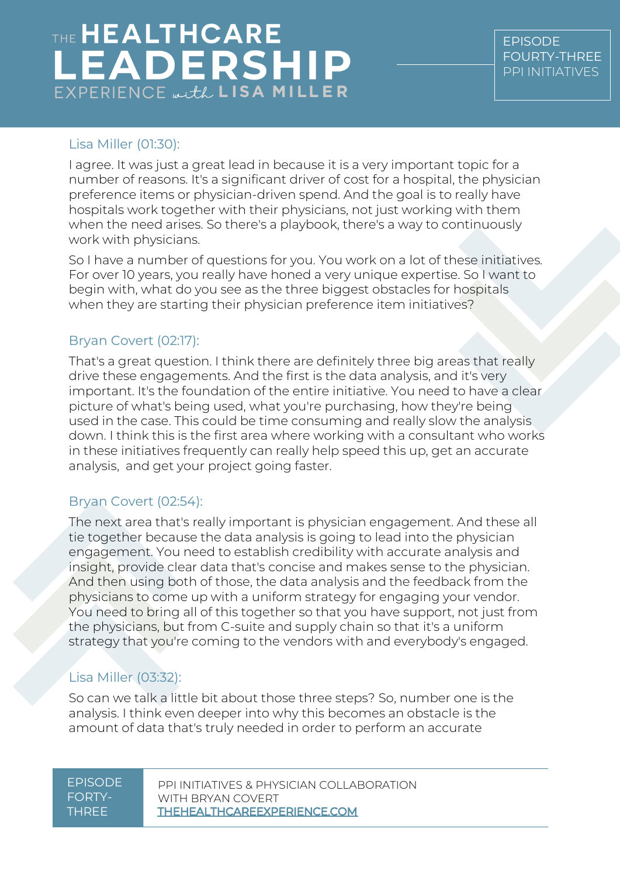## Lisa Miller (01:30):

I agree. It was just a great lead in because it is a very important topic for a number of reasons. It's a significant driver of cost for a hospital, the physician preference items or physician-driven spend. And the goal is to really have hospitals work together with their physicians, not just working with them when the need arises. So there's a playbook, there's a way to continuously work with physicians.

So I have a number of questions for you. You work on a lot of these initiatives. For over 10 years, you really have honed a very unique expertise. So I want to begin with, what do you see as the three biggest obstacles for hospitals when they are starting their physician preference item initiatives?

## Bryan Covert (02:17):

That's a great question. I think there are definitely three big areas that really drive these engagements. And the first is the data analysis, and it's very important. It's the foundation of the entire initiative. You need to have a clear picture of what's being used, what you're purchasing, how they're being used in the case. This could be time consuming and really slow the analysis down. I think this is the first area where working with a consultant who works in these initiatives frequently can really help speed this up, get an accurate analysis, and get your project going faster.

## Bryan Covert (02:54):

The next area that's really important is physician engagement. And these all tie together because the data analysis is going to lead into the physician engagement. You need to establish credibility with accurate analysis and insight, provide clear data that's concise and makes sense to the physician. And then using both of those, the data analysis and the feedback from the physicians to come up with a uniform strategy for engaging your vendor. You need to bring all of this together so that you have support, not just from the physicians, but from C-suite and supply chain so that it's a uniform strategy that you're coming to the vendors with and everybody's engaged.

## Lisa Miller (03:32):

So can we talk a little bit about those three steps? So, number one is the analysis. I think even deeper into why this becomes an obstacle is the amount of data that's truly needed in order to perform an accurate

| FPISODE |  |
|---------|--|
| FORTY-  |  |
| THRFF   |  |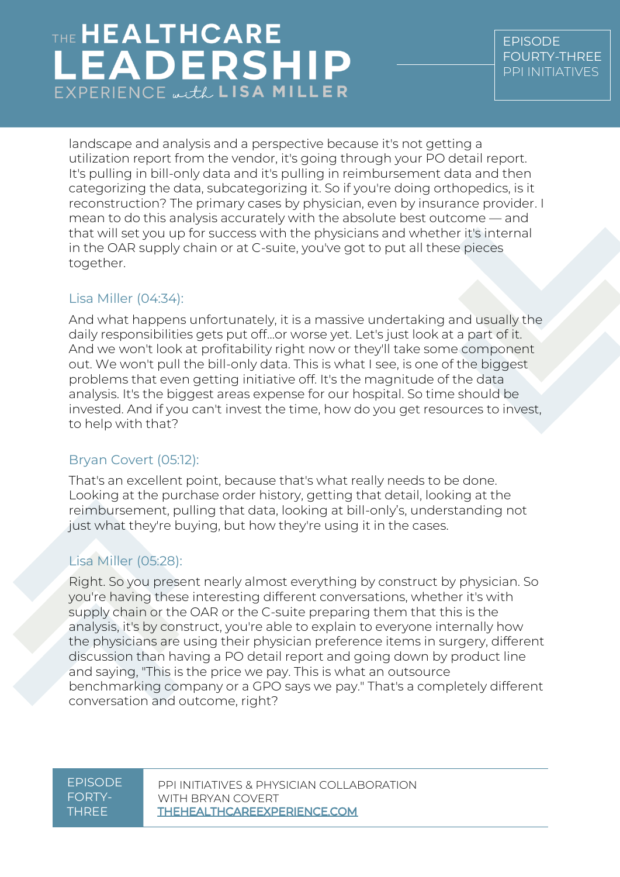landscape and analysis and a perspective because it's not getting a utilization report from the vendor, it's going through your PO detail report. It's pulling in bill-only data and it's pulling in reimbursement data and then categorizing the data, subcategorizing it. So if you're doing orthopedics, is it reconstruction? The primary cases by physician, even by insurance provider. I mean to do this analysis accurately with the absolute best outcome — and that will set you up for success with the physicians and whether it's internal in the OAR supply chain or at C-suite, you've got to put all these pieces together.

## Lisa Miller (04:34):

And what happens unfortunately, it is a massive undertaking and usually the daily responsibilities gets put off…or worse yet. Let's just look at a part of it. And we won't look at profitability right now or they'll take some component out. We won't pull the bill-only data. This is what I see, is one of the biggest problems that even getting initiative off. It's the magnitude of the data analysis. It's the biggest areas expense for our hospital. So time should be invested. And if you can't invest the time, how do you get resources to invest, to help with that?

## Bryan Covert (05:12):

That's an excellent point, because that's what really needs to be done. Looking at the purchase order history, getting that detail, looking at the reimbursement, pulling that data, looking at bill-only's, understanding not just what they're buying, but how they're using it in the cases.

## Lisa Miller (05:28):

Right. So you present nearly almost everything by construct by physician. So you're having these interesting different conversations, whether it's with supply chain or the OAR or the C-suite preparing them that this is the analysis, it's by construct, you're able to explain to everyone internally how the physicians are using their physician preference items in surgery, different discussion than having a PO detail report and going down by product line and saying, "This is the price we pay. This is what an outsource benchmarking company or a GPO says we pay." That's a completely different conversation and outcome, right?

#### EPISODE FORTY-THREE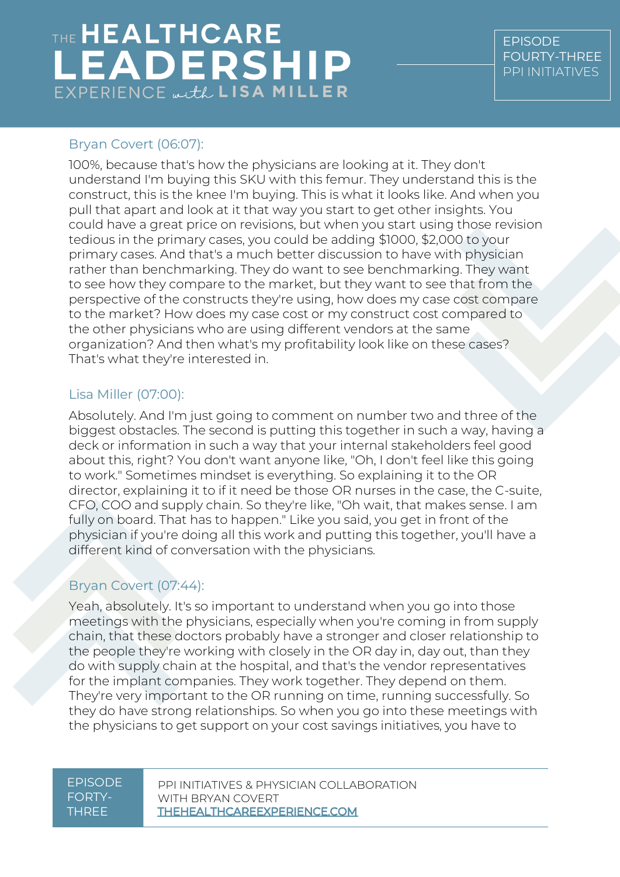### Bryan Covert (06:07):

100%, because that's how the physicians are looking at it. They don't understand I'm buying this SKU with this femur. They understand this is the construct, this is the knee I'm buying. This is what it looks like. And when you pull that apart and look at it that way you start to get other insights. You could have a great price on revisions, but when you start using those revision tedious in the primary cases, you could be adding \$1000, \$2,000 to your primary cases. And that's a much better discussion to have with physician rather than benchmarking. They do want to see benchmarking. They want to see how they compare to the market, but they want to see that from the perspective of the constructs they're using, how does my case cost compare to the market? How does my case cost or my construct cost compared to the other physicians who are using different vendors at the same organization? And then what's my profitability look like on these cases? That's what they're interested in.

## Lisa Miller (07:00):

Absolutely. And I'm just going to comment on number two and three of the biggest obstacles. The second is putting this together in such a way, having a deck or information in such a way that your internal stakeholders feel good about this, right? You don't want anyone like, "Oh, I don't feel like this going to work." Sometimes mindset is everything. So explaining it to the OR director, explaining it to if it need be those OR nurses in the case, the C-suite, CFO, COO and supply chain. So they're like, "Oh wait, that makes sense. I am fully on board. That has to happen." Like you said, you get in front of the physician if you're doing all this work and putting this together, you'll have a different kind of conversation with the physicians.

#### Bryan Covert (07:44):

Yeah, absolutely. It's so important to understand when you go into those meetings with the physicians, especially when you're coming in from supply chain, that these doctors probably have a stronger and closer relationship to the people they're working with closely in the OR day in, day out, than they do with supply chain at the hospital, and that's the vendor representatives for the implant companies. They work together. They depend on them. They're very important to the OR running on time, running successfully. So they do have strong relationships. So when you go into these meetings with the physicians to get support on your cost savings initiatives, you have to

EPISODE FORTY-THREE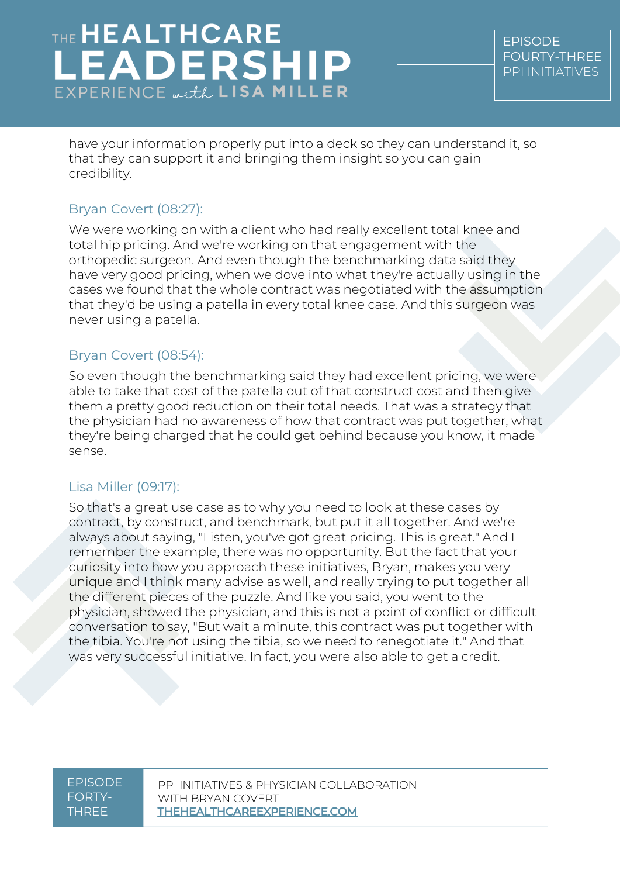have your information properly put into a deck so they can understand it, so that they can support it and bringing them insight so you can gain credibility.

## Bryan Covert (08:27):

We were working on with a client who had really excellent total knee and total hip pricing. And we're working on that engagement with the orthopedic surgeon. And even though the benchmarking data said they have very good pricing, when we dove into what they're actually using in the cases we found that the whole contract was negotiated with the assumption that they'd be using a patella in every total knee case. And this surgeon was never using a patella.

### Bryan Covert (08:54):

So even though the benchmarking said they had excellent pricing, we were able to take that cost of the patella out of that construct cost and then give them a pretty good reduction on their total needs. That was a strategy that the physician had no awareness of how that contract was put together, what they're being charged that he could get behind because you know, it made sense.

## Lisa Miller (09:17):

So that's a great use case as to why you need to look at these cases by contract, by construct, and benchmark, but put it all together. And we're always about saying, "Listen, you've got great pricing. This is great." And I remember the example, there was no opportunity. But the fact that your curiosity into how you approach these initiatives, Bryan, makes you very unique and I think many advise as well, and really trying to put together all the different pieces of the puzzle. And like you said, you went to the physician, showed the physician, and this is not a point of conflict or difficult conversation to say, "But wait a minute, this contract was put together with the tibia. You're not using the tibia, so we need to renegotiate it." And that was very successful initiative. In fact, you were also able to get a credit.

EPISODE FORTY-THREE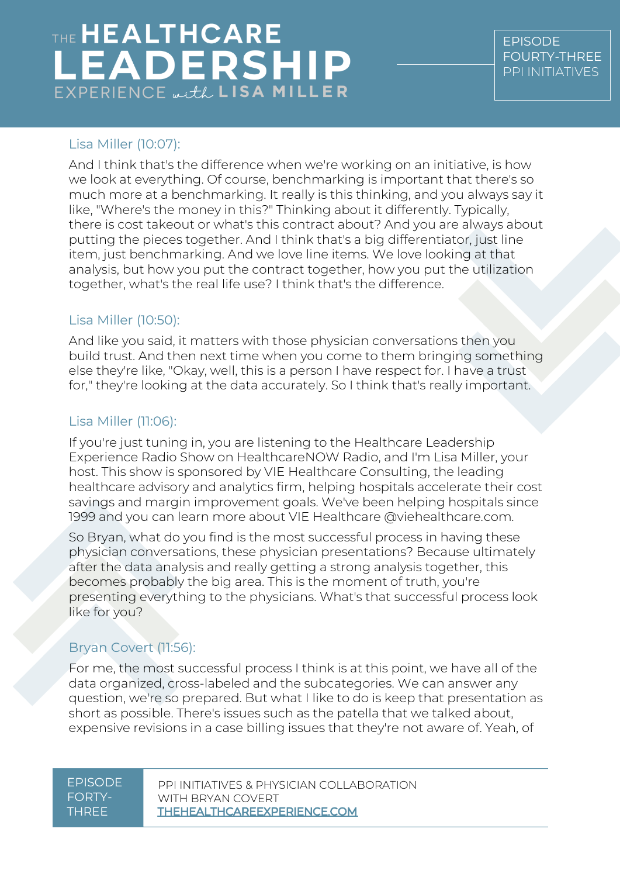## Lisa Miller (10:07):

And I think that's the difference when we're working on an initiative, is how we look at everything. Of course, benchmarking is important that there's so much more at a benchmarking. It really is this thinking, and you always say it like, "Where's the money in this?" Thinking about it differently. Typically, there is cost takeout or what's this contract about? And you are always about putting the pieces together. And I think that's a big differentiator, just line item, just benchmarking. And we love line items. We love looking at that analysis, but how you put the contract together, how you put the utilization together, what's the real life use? I think that's the difference.

#### Lisa Miller (10:50):

And like you said, it matters with those physician conversations then you build trust. And then next time when you come to them bringing something else they're like, "Okay, well, this is a person I have respect for. I have a trust for," they're looking at the data accurately. So I think that's really important.

## Lisa Miller (11:06):

If you're just tuning in, you are listening to the Healthcare Leadership Experience Radio Show on HealthcareNOW Radio, and I'm Lisa Miller, your host. This show is sponsored by VIE Healthcare Consulting, the leading healthcare advisory and analytics firm, helping hospitals accelerate their cost savings and margin improvement goals. We've been helping hospitals since 1999 and you can learn more about VIE Healthcare @viehealthcare.com.

So Bryan, what do you find is the most successful process in having these physician conversations, these physician presentations? Because ultimately after the data analysis and really getting a strong analysis together, this becomes probably the big area. This is the moment of truth, you're presenting everything to the physicians. What's that successful process look like for you?

## Bryan Covert (11:56):

For me, the most successful process I think is at this point, we have all of the data organized, cross-labeled and the subcategories. We can answer any question, we're so prepared. But what I like to do is keep that presentation as short as possible. There's issues such as the patella that we talked about, expensive revisions in a case billing issues that they're not aware of. Yeah, of

#### EPISODE FORTY-THREE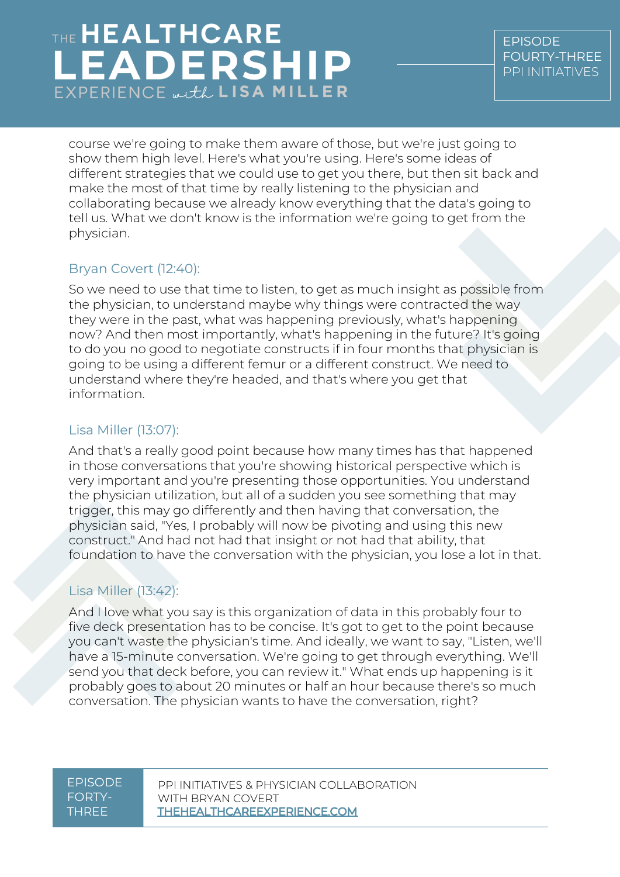course we're going to make them aware of those, but we're just going to show them high level. Here's what you're using. Here's some ideas of different strategies that we could use to get you there, but then sit back and make the most of that time by really listening to the physician and collaborating because we already know everything that the data's going to tell us. What we don't know is the information we're going to get from the physician.

## Bryan Covert (12:40):

So we need to use that time to listen, to get as much insight as possible from the physician, to understand maybe why things were contracted the way they were in the past, what was happening previously, what's happening now? And then most importantly, what's happening in the future? It's going to do you no good to negotiate constructs if in four months that physician is going to be using a different femur or a different construct. We need to understand where they're headed, and that's where you get that information.

### Lisa Miller (13:07):

And that's a really good point because how many times has that happened in those conversations that you're showing historical perspective which is very important and you're presenting those opportunities. You understand the physician utilization, but all of a sudden you see something that may trigger, this may go differently and then having that conversation, the physician said, "Yes, I probably will now be pivoting and using this new construct." And had not had that insight or not had that ability, that foundation to have the conversation with the physician, you lose a lot in that.

## Lisa Miller (13:42):

And I love what you say is this organization of data in this probably four to five deck presentation has to be concise. It's got to get to the point because you can't waste the physician's time. And ideally, we want to say, "Listen, we'll have a 15-minute conversation. We're going to get through everything. We'll send you that deck before, you can review it." What ends up happening is it probably goes to about 20 minutes or half an hour because there's so much conversation. The physician wants to have the conversation, right?

#### EPISODE FORTY-THREE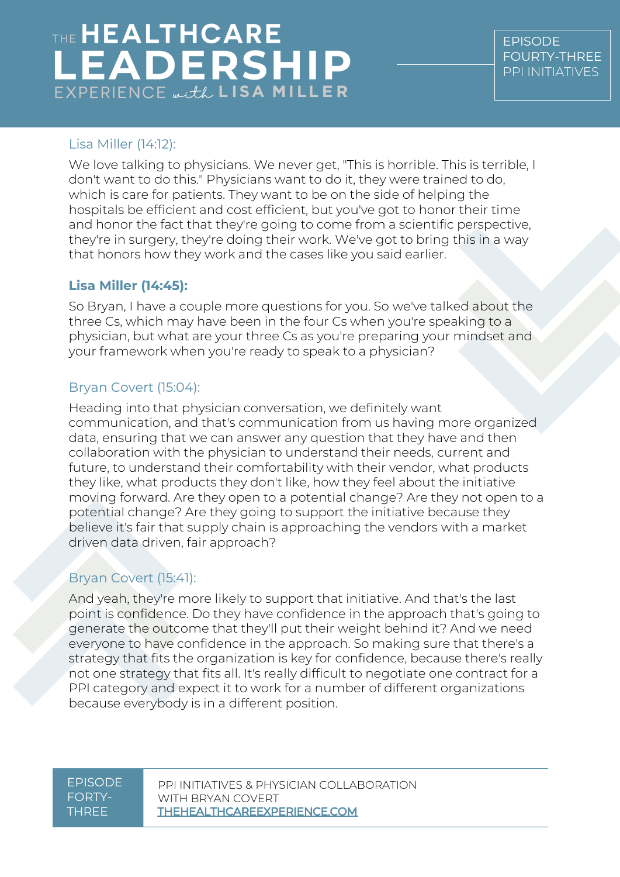## THE HEALTHCARE **LEADERSHIP**  $EXPERIENCE \omega, tL$  LISA MILLER

## Lisa Miller (14:12):

We love talking to physicians. We never get, "This is horrible. This is terrible, I don't want to do this." Physicians want to do it, they were trained to do, which is care for patients. They want to be on the side of helping the hospitals be efficient and cost efficient, but you've got to honor their time and honor the fact that they're going to come from a scientific perspective, they're in surgery, they're doing their work. We've got to bring this in a way that honors how they work and the cases like you said earlier.

## **Lisa Miller (14:45):**

So Bryan, I have a couple more questions for you. So we've talked about the three Cs, which may have been in the four Cs when you're speaking to a physician, but what are your three Cs as you're preparing your mindset and your framework when you're ready to speak to a physician?

## Bryan Covert (15:04):

Heading into that physician conversation, we definitely want communication, and that's communication from us having more organized data, ensuring that we can answer any question that they have and then collaboration with the physician to understand their needs, current and future, to understand their comfortability with their vendor, what products they like, what products they don't like, how they feel about the initiative moving forward. Are they open to a potential change? Are they not open to a potential change? Are they going to support the initiative because they believe it's fair that supply chain is approaching the vendors with a market driven data driven, fair approach?

## Bryan Covert (15:41):

And yeah, they're more likely to support that initiative. And that's the last point is confidence. Do they have confidence in the approach that's going to generate the outcome that they'll put their weight behind it? And we need everyone to have confidence in the approach. So making sure that there's a strategy that fits the organization is key for confidence, because there's really not one strategy that fits all. It's really difficult to negotiate one contract for a PPI category and expect it to work for a number of different organizations because everybody is in a different position.

#### EPISODE FORTY-THREE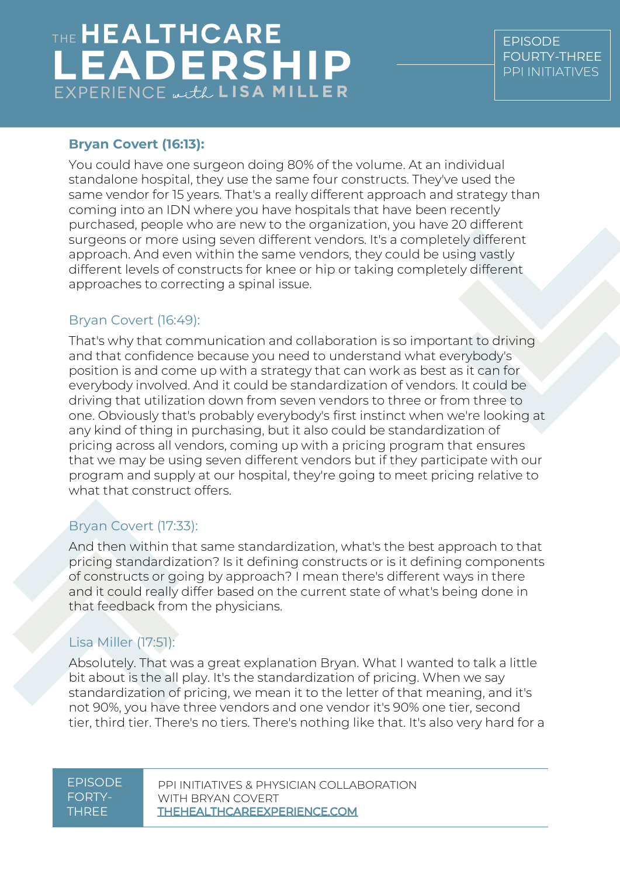### **Bryan Covert (16:13):**

You could have one surgeon doing 80% of the volume. At an individual standalone hospital, they use the same four constructs. They've used the same vendor for 15 years. That's a really different approach and strategy than coming into an IDN where you have hospitals that have been recently purchased, people who are new to the organization, you have 20 different surgeons or more using seven different vendors. It's a completely different approach. And even within the same vendors, they could be using vastly different levels of constructs for knee or hip or taking completely different approaches to correcting a spinal issue.

#### Bryan Covert (16:49):

That's why that communication and collaboration is so important to driving and that confidence because you need to understand what everybody's position is and come up with a strategy that can work as best as it can for everybody involved. And it could be standardization of vendors. It could be driving that utilization down from seven vendors to three or from three to one. Obviously that's probably everybody's first instinct when we're looking at any kind of thing in purchasing, but it also could be standardization of pricing across all vendors, coming up with a pricing program that ensures that we may be using seven different vendors but if they participate with our program and supply at our hospital, they're going to meet pricing relative to what that construct offers.

## Bryan Covert (17:33):

And then within that same standardization, what's the best approach to that pricing standardization? Is it defining constructs or is it defining components of constructs or going by approach? I mean there's different ways in there and it could really differ based on the current state of what's being done in that feedback from the physicians.

## Lisa Miller (17:51):

Absolutely. That was a great explanation Bryan. What I wanted to talk a little bit about is the all play. It's the standardization of pricing. When we say standardization of pricing, we mean it to the letter of that meaning, and it's not 90%, you have three vendors and one vendor it's 90% one tier, second tier, third tier. There's no tiers. There's nothing like that. It's also very hard for a

#### EPISODE FORTY-THREE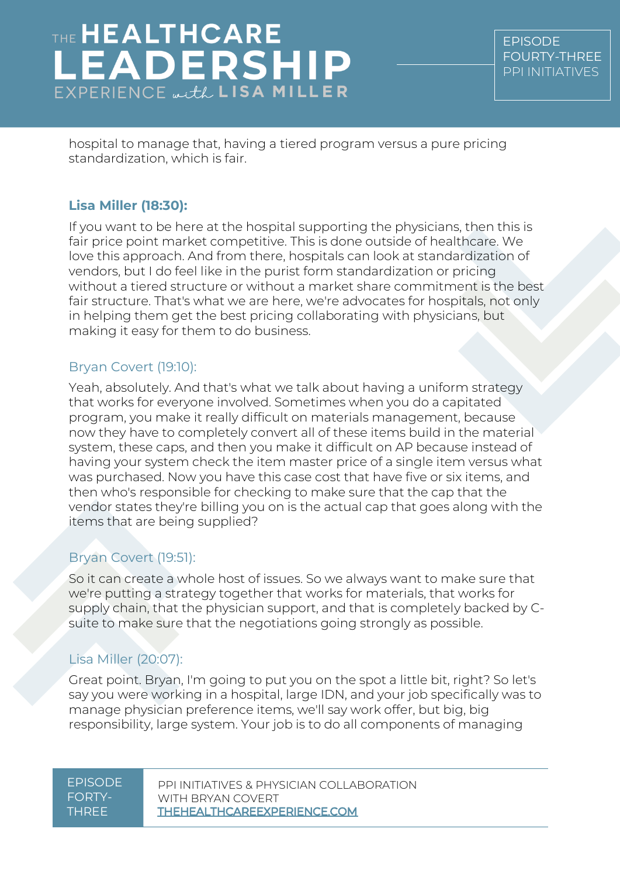# THE HEALTHCARE **EADERSHIP**  $EXPERIENCE$   $HLLER$

hospital to manage that, having a tiered program versus a pure pricing standardization, which is fair.

## **Lisa Miller (18:30):**

If you want to be here at the hospital supporting the physicians, then this is fair price point market competitive. This is done outside of healthcare. We love this approach. And from there, hospitals can look at standardization of vendors, but I do feel like in the purist form standardization or pricing without a tiered structure or without a market share commitment is the best fair structure. That's what we are here, we're advocates for hospitals, not only in helping them get the best pricing collaborating with physicians, but making it easy for them to do business.

## Bryan Covert (19:10):

Yeah, absolutely. And that's what we talk about having a uniform strategy that works for everyone involved. Sometimes when you do a capitated program, you make it really difficult on materials management, because now they have to completely convert all of these items build in the material system, these caps, and then you make it difficult on AP because instead of having your system check the item master price of a single item versus what was purchased. Now you have this case cost that have five or six items, and then who's responsible for checking to make sure that the cap that the vendor states they're billing you on is the actual cap that goes along with the items that are being supplied?

## Bryan Covert (19:51):

So it can create a whole host of issues. So we always want to make sure that we're putting a strategy together that works for materials, that works for supply chain, that the physician support, and that is completely backed by Csuite to make sure that the negotiations going strongly as possible.

## Lisa Miller (20:07):

Great point. Bryan, I'm going to put you on the spot a little bit, right? So let's say you were working in a hospital, large IDN, and your job specifically was to manage physician preference items, we'll say work offer, but big, big responsibility, large system. Your job is to do all components of managing

#### EPISODE FORTY-THREE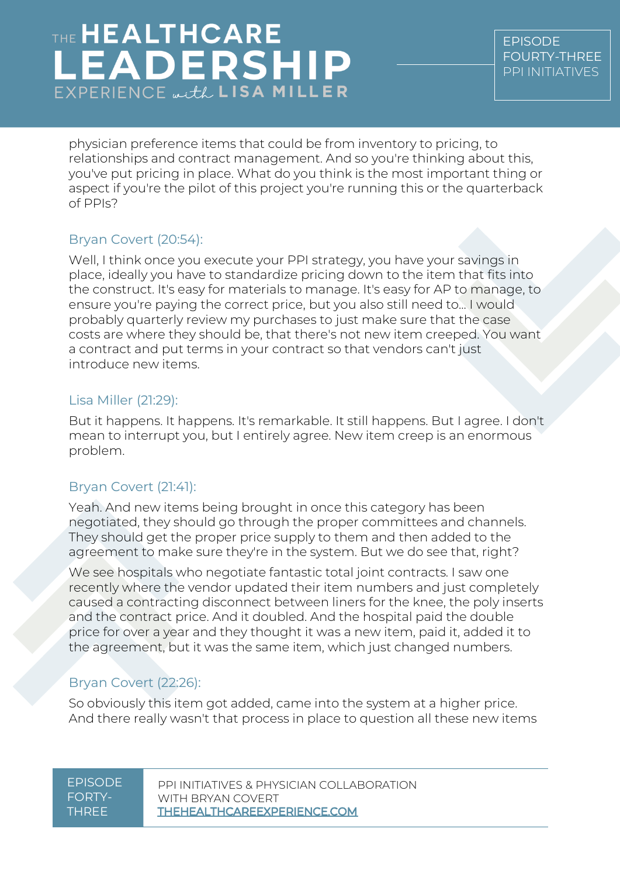physician preference items that could be from inventory to pricing, to relationships and contract management. And so you're thinking about this, you've put pricing in place. What do you think is the most important thing or aspect if you're the pilot of this project you're running this or the quarterback of PPIs?

## Bryan Covert (20:54):

Well, I think once you execute your PPI strategy, you have your savings in place, ideally you have to standardize pricing down to the item that fits into the construct. It's easy for materials to manage. It's easy for AP to manage, to ensure you're paying the correct price, but you also still need to... I would probably quarterly review my purchases to just make sure that the case costs are where they should be, that there's not new item creeped. You want a contract and put terms in your contract so that vendors can't just introduce new items.

### Lisa Miller (21:29):

But it happens. It happens. It's remarkable. It still happens. But I agree. I don't mean to interrupt you, but I entirely agree. New item creep is an enormous problem.

## Bryan Covert (21:41):

Yeah. And new items being brought in once this category has been negotiated, they should go through the proper committees and channels. They should get the proper price supply to them and then added to the agreement to make sure they're in the system. But we do see that, right?

We see hospitals who negotiate fantastic total joint contracts. I saw one recently where the vendor updated their item numbers and just completely caused a contracting disconnect between liners for the knee, the poly inserts and the contract price. And it doubled. And the hospital paid the double price for over a year and they thought it was a new item, paid it, added it to the agreement, but it was the same item, which just changed numbers.

## Bryan Covert (22:26):

So obviously this item got added, came into the system at a higher price. And there really wasn't that process in place to question all these new items

#### EPISODE FORTY-THREE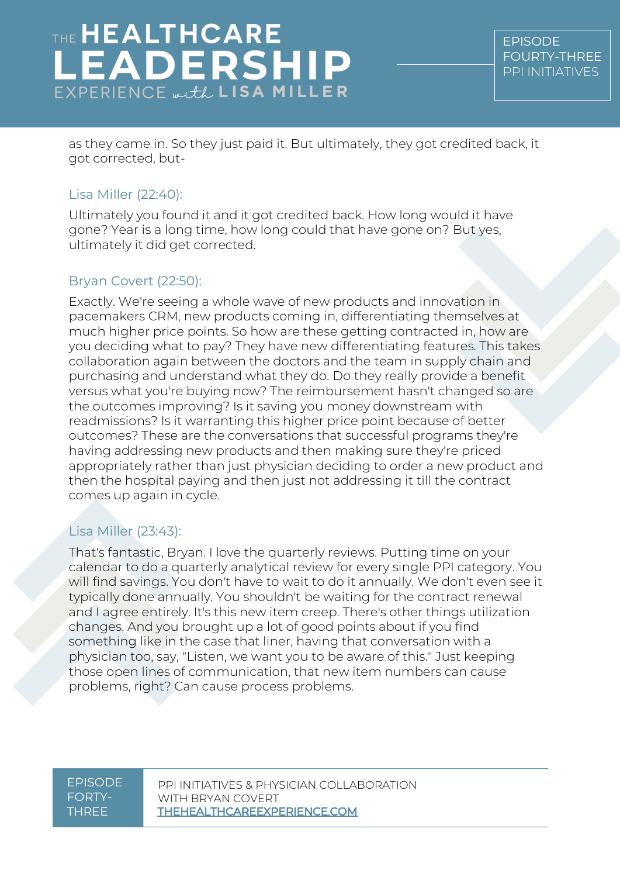as they came in. So they just paid it. But ultimately, they got credited back, it got corrected, but-

### Lisa Miller (22:40):

Ultimately you found it and it got credited back. How long would it have gone? Year is a long time, how long could that have gone on? But yes, ultimately it did get corrected.

## Bryan Covert (22:50):

Exactly. We're seeing a whole wave of new products and innovation in pacemakers CRM, new products coming in, differentiating themselves at much higher price points. So how are these getting contracted in, how are you deciding what to pay? They have new differentiating features. This takes collaboration again between the doctors and the team in supply chain and purchasing and understand what they do. Do they really provide a benefit versus what you're buying now? The reimbursement hasn't changed so are the outcomes improving? Is it saving you money downstream with readmissions? Is it warranting this higher price point because of better outcomes? These are the conversations that successful programs they're having addressing new products and then making sure they're priced appropriately rather than just physician deciding to order a new product and then the hospital paying and then just not addressing it till the contract comes up again in cycle.

## Lisa Miller (23:43):

That's fantastic, Bryan. I love the quarterly reviews. Putting time on your calendar to do a quarterly analytical review for every single PPI category. You will find savings. You don't have to wait to do it annually. We don't even see it typically done annually. You shouldn't be waiting for the contract renewal and I agree entirely. It's this new item creep. There's other things utilization changes. And you brought up a lot of good points about if you find something like in the case that liner, having that conversation with a physician too, say, "Listen, we want you to be aware of this." Just keeping those open lines of communication, that new item numbers can cause problems, right? Can cause process problems.

#### EPISODE FORTY-THREE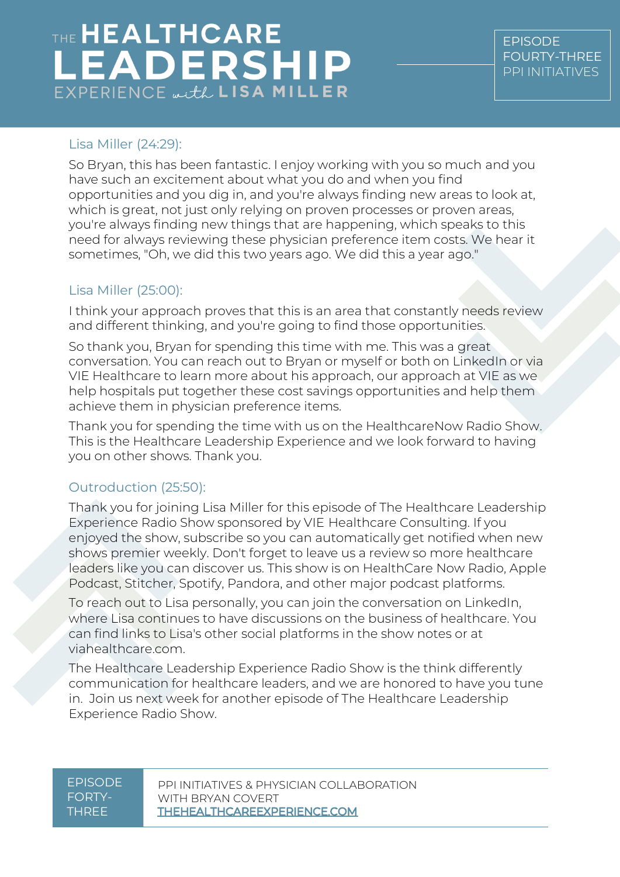## Lisa Miller (24:29):

So Bryan, this has been fantastic. I enjoy working with you so much and you have such an excitement about what you do and when you find opportunities and you dig in, and you're always finding new areas to look at, which is great, not just only relying on proven processes or proven areas, you're always finding new things that are happening, which speaks to this need for always reviewing these physician preference item costs. We hear it sometimes, "Oh, we did this two years ago. We did this a year ago."

## Lisa Miller (25:00):

I think your approach proves that this is an area that constantly needs review and different thinking, and you're going to find those opportunities.

So thank you, Bryan for spending this time with me. This was a great conversation. You can reach out to Bryan or myself or both on LinkedIn or via VIE Healthcare to learn more about his approach, our approach at VIE as we help hospitals put together these cost savings opportunities and help them achieve them in physician preference items.

Thank you for spending the time with us on the HealthcareNow Radio Show. This is the Healthcare Leadership Experience and we look forward to having you on other shows. Thank you.

## Outroduction (25:50):

Thank you for joining Lisa Miller for this episode of The Healthcare Leadership Experience Radio Show sponsored by VIE Healthcare Consulting. If you enjoyed the show, subscribe so you can automatically get notified when new shows premier weekly. Don't forget to leave us a review so more healthcare leaders like you can discover us. This show is on HealthCare Now Radio, Apple Podcast, Stitcher, Spotify, Pandora, and other major podcast platforms.

To reach out to Lisa personally, you can join the conversation on LinkedIn, where Lisa continues to have discussions on the business of healthcare. You can find links to Lisa's other social platforms in the show notes or at viahealthcare.com.

The Healthcare Leadership Experience Radio Show is the think differently communication for healthcare leaders, and we are honored to have you tune in. Join us next week for another episode of The Healthcare Leadership Experience Radio Show.

#### EPISODE FORTY-THREE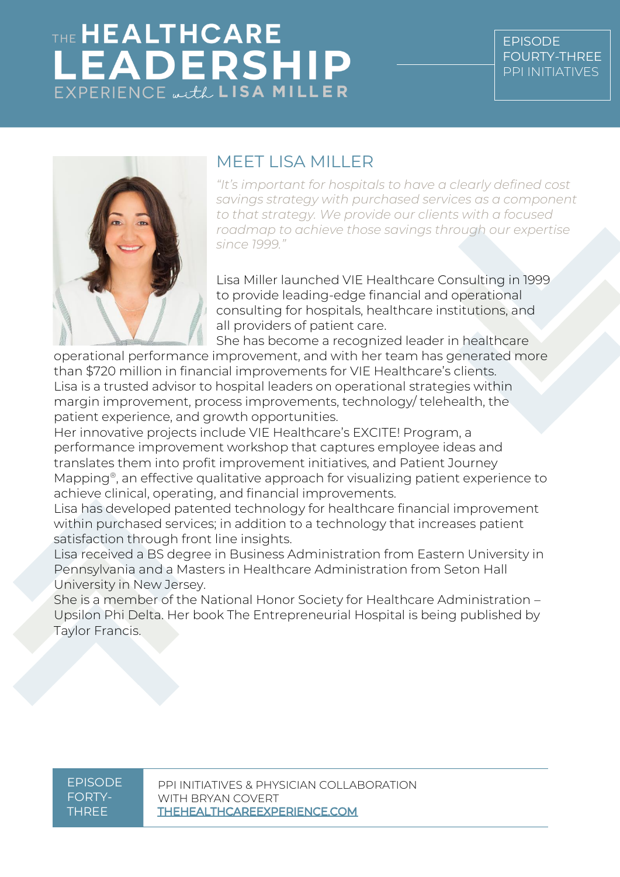

## MEET LISA MILLER

*"It's important for hospitals to have a clearly defined cost savings strategy with purchased services as a component to that strategy. We provide our clients with a focused roadmap to achieve those savings through our expertise since 1999."*

Lisa Miller launched VIE Healthcare Consulting in 1999 to provide leading-edge financial and operational consulting for hospitals, healthcare institutions, and all providers of patient care.

She has become a recognized leader in healthcare

operational performance improvement, and with her team has generated more than \$720 million in financial improvements for VIE Healthcare's clients. Lisa is a trusted advisor to hospital leaders on operational strategies within margin improvement, process improvements, technology/ telehealth, the patient experience, and growth opportunities.

Her innovative projects include VIE Healthcare's EXCITE! Program, a performance improvement workshop that captures employee ideas and translates them into profit improvement initiatives, and Patient Journey Mapping®, an effective qualitative approach for visualizing patient experience to achieve clinical, operating, and financial improvements.

Lisa has developed patented technology for healthcare financial improvement within purchased services; in addition to a technology that increases patient satisfaction through front line insights.

Lisa received a BS degree in Business Administration from Eastern University in Pennsylvania and a Masters in Healthcare Administration from Seton Hall University in New Jersey.

She is a member of the National Honor Society for Healthcare Administration – Upsilon Phi Delta. Her book The Entrepreneurial Hospital is being published by Taylor Francis.

EPISODE FORTY-THREE